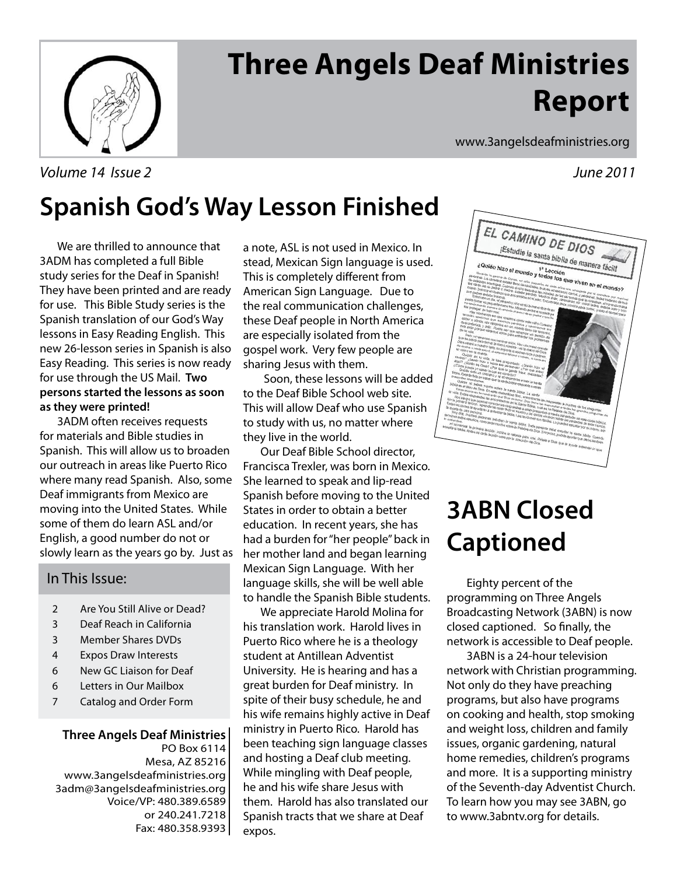

# **Three Angels Deaf Ministries Report**

www.3angelsdeafministries.org

# **Spanish God's Way Lesson Finished**

 We are thrilled to announce that 3ADM has completed a full Bible study series for the Deaf in Spanish! They have been printed and are ready for use. This Bible Study series is the Spanish translation of our God's Way lessons in Easy Reading English. This new 26-lesson series in Spanish is also Easy Reading. This series is now ready for use through the US Mail. **Two persons started the lessons as soon as they were printed!**

 3ADM often receives requests for materials and Bible studies in Spanish. This will allow us to broaden our outreach in areas like Puerto Rico where many read Spanish. Also, some Deaf immigrants from Mexico are moving into the United States. While some of them do learn ASL and/or English, a good number do not or slowly learn as the years go by. Just as

## In This Issue:

- 2 Are You Still Alive or Dead?
- 3 Deaf Reach in California
- 3 Member Shares DVDs
- 4 Expos Draw Interests
- 6 New GC Liaison for Deaf
- 6 Letters in Our Mailbox
- 7 Catalog and Order Form

### **Three Angels Deaf Ministries** PO Box 6114 Mesa, AZ 85216 www.3angelsdeafministries.org 3adm@3angelsdeafministries.org Voice/VP: 480.389.6589 or 240.241.7218 Fax: 480.358.9393

a note, ASL is not used in Mexico. In stead, Mexican Sign language is used. This is completely different from American Sign Language. Due to the real communication challenges, these Deaf people in North America are especially isolated from the gospel work. Very few people are sharing Jesus with them.

 Soon, these lessons will be added to the Deaf Bible School web site. This will allow Deaf who use Spanish to study with us, no matter where they live in the world.

 Our Deaf Bible School director, Francisca Trexler, was born in Mexico. She learned to speak and lip-read Spanish before moving to the United States in order to obtain a better education. In recent years, she has had a burden for "her people" back in her mother land and began learning Mexican Sign Language. With her language skills, she will be well able to handle the Spanish Bible students.

 We appreciate Harold Molina for his translation work. Harold lives in Puerto Rico where he is a theology student at Antillean Adventist University. He is hearing and has a great burden for Deaf ministry. In spite of their busy schedule, he and his wife remains highly active in Deaf ministry in Puerto Rico. Harold has been teaching sign language classes and hosting a Deaf club meeting. While mingling with Deaf people, he and his wife share Jesus with them. Harold has also translated our Spanish tracts that we share at Deaf expos.



# **3ABN Closed Captioned**

Eighty percent of the programming on Three Angels Broadcasting Network (3ABN) is now closed captioned. So finally, the network is accessible to Deaf people.

3ABN is a 24-hour television network with Christian programming. Not only do they have preaching programs, but also have programs on cooking and health, stop smoking and weight loss, children and family issues, organic gardening, natural home remedies, children's programs and more. It is a supporting ministry of the Seventh-day Adventist Church. To learn how you may see 3ABN, go to www.3abntv.org for details.

Volume 14 Issue 2 June 2011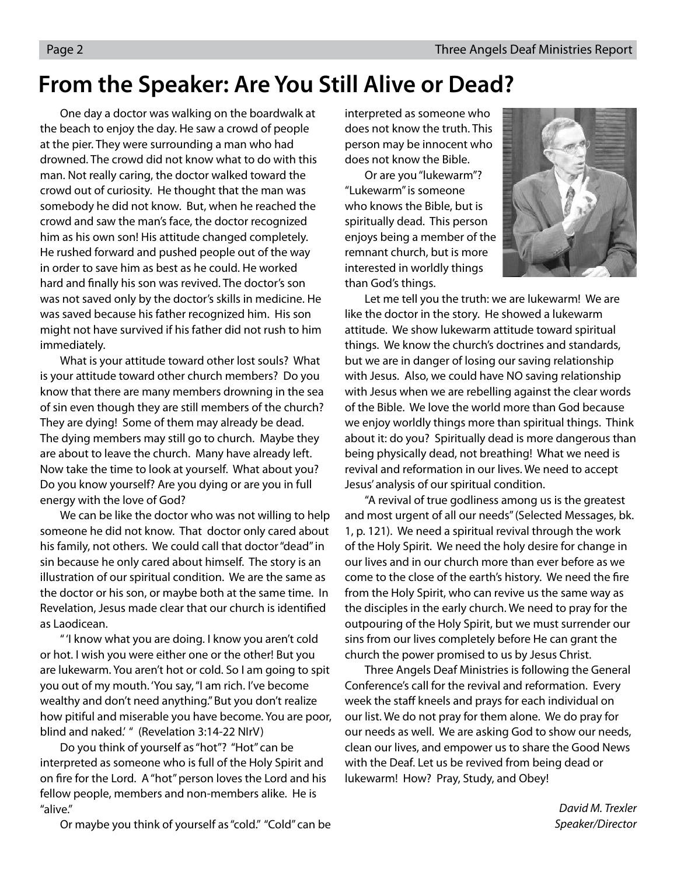## **From the Speaker: Are You Still Alive or Dead?**

 One day a doctor was walking on the boardwalk at the beach to enjoy the day. He saw a crowd of people at the pier. They were surrounding a man who had drowned. The crowd did not know what to do with this man. Not really caring, the doctor walked toward the crowd out of curiosity. He thought that the man was somebody he did not know. But, when he reached the crowd and saw the man's face, the doctor recognized him as his own son! His attitude changed completely. He rushed forward and pushed people out of the way in order to save him as best as he could. He worked hard and finally his son was revived. The doctor's son was not saved only by the doctor's skills in medicine. He was saved because his father recognized him. His son might not have survived if his father did not rush to him immediately.

What is your attitude toward other lost souls? What is your attitude toward other church members? Do you know that there are many members drowning in the sea of sin even though they are still members of the church? They are dying! Some of them may already be dead. The dying members may still go to church. Maybe they are about to leave the church. Many have already left. Now take the time to look at yourself. What about you? Do you know yourself? Are you dying or are you in full energy with the love of God?

We can be like the doctor who was not willing to help someone he did not know. That doctor only cared about his family, not others. We could call that doctor "dead" in sin because he only cared about himself. The story is an illustration of our spiritual condition. We are the same as the doctor or his son, or maybe both at the same time. In Revelation, Jesus made clear that our church is identified as Laodicean.

 " 'I know what you are doing. I know you aren't cold or hot. I wish you were either one or the other! But you are lukewarm. You aren't hot or cold. So I am going to spit you out of my mouth. 'You say, "I am rich. I've become wealthy and don't need anything." But you don't realize how pitiful and miserable you have become. You are poor, blind and naked.' " (Revelation 3:14-22 NIrV)

 Do you think of yourself as "hot"? "Hot" can be interpreted as someone who is full of the Holy Spirit and on fire for the Lord. A "hot" person loves the Lord and his fellow people, members and non-members alike. He is "alive."

interpreted as someone who does not know the truth. This person may be innocent who does not know the Bible.

 Or are you "lukewarm"? "Lukewarm" is someone who knows the Bible, but is spiritually dead. This person enjoys being a member of the remnant church, but is more interested in worldly things than God's things.



 Let me tell you the truth: we are lukewarm! We are like the doctor in the story. He showed a lukewarm attitude. We show lukewarm attitude toward spiritual things. We know the church's doctrines and standards, but we are in danger of losing our saving relationship with Jesus. Also, we could have NO saving relationship with Jesus when we are rebelling against the clear words of the Bible. We love the world more than God because we enjoy worldly things more than spiritual things. Think about it: do you? Spiritually dead is more dangerous than being physically dead, not breathing! What we need is revival and reformation in our lives. We need to accept Jesus' analysis of our spiritual condition.

"A revival of true godliness among us is the greatest and most urgent of all our needs" (Selected Messages, bk. 1, p. 121). We need a spiritual revival through the work of the Holy Spirit. We need the holy desire for change in our lives and in our church more than ever before as we come to the close of the earth's history. We need the fire from the Holy Spirit, who can revive us the same way as the disciples in the early church. We need to pray for the outpouring of the Holy Spirit, but we must surrender our sins from our lives completely before He can grant the church the power promised to us by Jesus Christ.

 Three Angels Deaf Ministries is following the General Conference's call for the revival and reformation. Every week the staff kneels and prays for each individual on our list. We do not pray for them alone. We do pray for our needs as well. We are asking God to show our needs, clean our lives, and empower us to share the Good News with the Deaf. Let us be revived from being dead or lukewarm! How? Pray, Study, and Obey!

> David M. Trexler Speaker/Director

Or maybe you think of yourself as "cold." "Cold" can be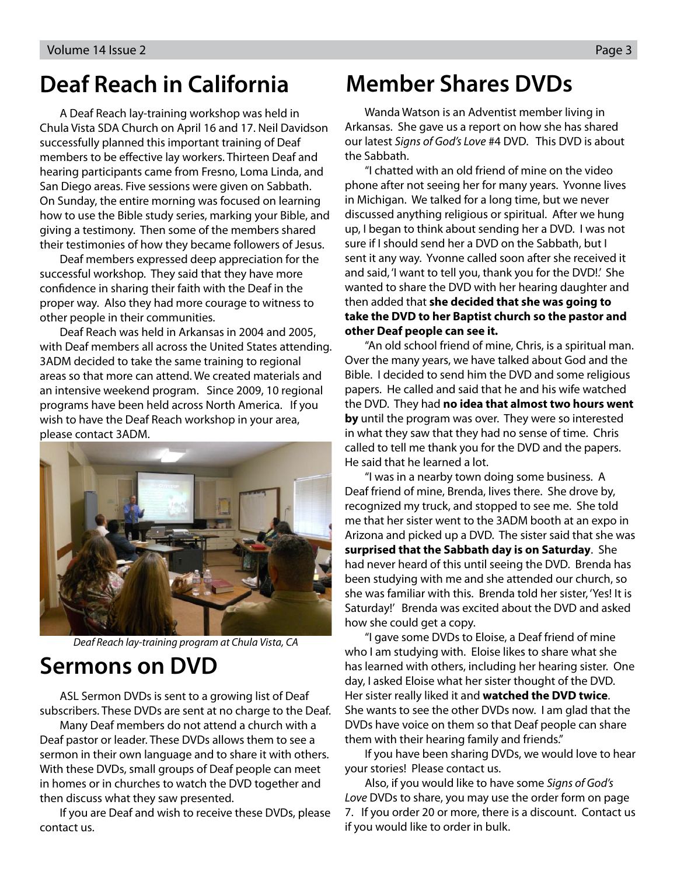## **Deaf Reach in California**

 A Deaf Reach lay-training workshop was held in Chula Vista SDA Church on April 16 and 17. Neil Davidson successfully planned this important training of Deaf members to be effective lay workers. Thirteen Deaf and hearing participants came from Fresno, Loma Linda, and San Diego areas. Five sessions were given on Sabbath. On Sunday, the entire morning was focused on learning how to use the Bible study series, marking your Bible, and giving a testimony. Then some of the members shared their testimonies of how they became followers of Jesus.

 Deaf members expressed deep appreciation for the successful workshop. They said that they have more confidence in sharing their faith with the Deaf in the proper way. Also they had more courage to witness to other people in their communities.

 Deaf Reach was held in Arkansas in 2004 and 2005, with Deaf members all across the United States attending. 3ADM decided to take the same training to regional areas so that more can attend. We created materials and an intensive weekend program. Since 2009, 10 regional programs have been held across North America. If you wish to have the Deaf Reach workshop in your area, please contact 3ADM.



Deaf Reach lay-training program at Chula Vista, CA

## **Sermons on DVD**

 ASL Sermon DVDs is sent to a growing list of Deaf subscribers. These DVDs are sent at no charge to the Deaf.

 Many Deaf members do not attend a church with a Deaf pastor or leader. These DVDs allows them to see a sermon in their own language and to share it with others. With these DVDs, small groups of Deaf people can meet in homes or in churches to watch the DVD together and then discuss what they saw presented.

 If you are Deaf and wish to receive these DVDs, please contact us.

## **Member Shares DVDs**

Wanda Watson is an Adventist member living in Arkansas. She gave us a report on how she has shared our latest Signs of God's Love #4 DVD. This DVD is about the Sabbath.

"I chatted with an old friend of mine on the video phone after not seeing her for many years. Yvonne lives in Michigan. We talked for a long time, but we never discussed anything religious or spiritual. After we hung up, I began to think about sending her a DVD. I was not sure if I should send her a DVD on the Sabbath, but I sent it any way. Yvonne called soon after she received it and said, 'I want to tell you, thank you for the DVD!.' She wanted to share the DVD with her hearing daughter and then added that **she decided that she was going to take the DVD to her Baptist church so the pastor and other Deaf people can see it.** 

"An old school friend of mine, Chris, is a spiritual man. Over the many years, we have talked about God and the Bible. I decided to send him the DVD and some religious papers. He called and said that he and his wife watched the DVD. They had **no idea that almost two hours went by** until the program was over. They were so interested in what they saw that they had no sense of time. Chris called to tell me thank you for the DVD and the papers. He said that he learned a lot.

"I was in a nearby town doing some business. A Deaf friend of mine, Brenda, lives there. She drove by, recognized my truck, and stopped to see me. She told me that her sister went to the 3ADM booth at an expo in Arizona and picked up a DVD. The sister said that she was **surprised that the Sabbath day is on Saturday**. She had never heard of this until seeing the DVD. Brenda has been studying with me and she attended our church, so she was familiar with this. Brenda told her sister, 'Yes! It is Saturday!' Brenda was excited about the DVD and asked how she could get a copy.

"I gave some DVDs to Eloise, a Deaf friend of mine who I am studying with. Eloise likes to share what she has learned with others, including her hearing sister. One day, I asked Eloise what her sister thought of the DVD. Her sister really liked it and **watched the DVD twice**. She wants to see the other DVDs now. I am glad that the DVDs have voice on them so that Deaf people can share them with their hearing family and friends."

If you have been sharing DVDs, we would love to hear your stories! Please contact us.

Also, if you would like to have some Signs of God's Love DVDs to share, you may use the order form on page 7. If you order 20 or more, there is a discount. Contact us if you would like to order in bulk.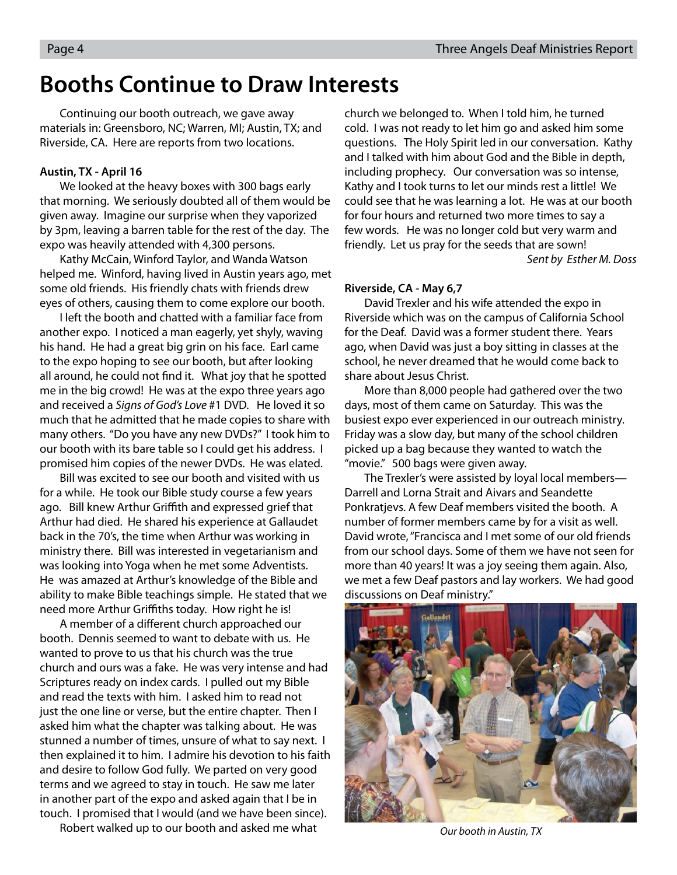## **Booths Continue to Draw Interests**

Continuing our booth outreach, we gave away materials in: Greensboro, NC; Warren, MI; Austin, TX; and Riverside, CA. Here are reports from two locations.

### **Austin, TX - April 16**

We looked at the heavy boxes with 300 bags early that morning. We seriously doubted all of them would be given away. Imagine our surprise when they vaporized by 3pm, leaving a barren table for the rest of the day. The expo was heavily attended with 4,300 persons.

Kathy McCain, Winford Taylor, and Wanda Watson helped me. Winford, having lived in Austin years ago, met some old friends. His friendly chats with friends drew eyes of others, causing them to come explore our booth.

I left the booth and chatted with a familiar face from another expo. I noticed a man eagerly, yet shyly, waving his hand. He had a great big grin on his face. Earl came to the expo hoping to see our booth, but after looking all around, he could not find it. What joy that he spotted me in the big crowd! He was at the expo three years ago and received a Signs of God's Love #1 DVD. He loved it so much that he admitted that he made copies to share with many others. "Do you have any new DVDs?" I took him to our booth with its bare table so I could get his address. I promised him copies of the newer DVDs. He was elated.

 Bill was excited to see our booth and visited with us for a while. He took our Bible study course a few years ago. Bill knew Arthur Griffith and expressed grief that Arthur had died. He shared his experience at Gallaudet back in the 70's, the time when Arthur was working in ministry there. Bill was interested in vegetarianism and was looking into Yoga when he met some Adventists. He was amazed at Arthur's knowledge of the Bible and ability to make Bible teachings simple. He stated that we need more Arthur Griffiths today. How right he is!

A member of a different church approached our booth. Dennis seemed to want to debate with us. He wanted to prove to us that his church was the true church and ours was a fake. He was very intense and had Scriptures ready on index cards. I pulled out my Bible and read the texts with him. I asked him to read not just the one line or verse, but the entire chapter. Then I asked him what the chapter was talking about. He was stunned a number of times, unsure of what to say next. I then explained it to him. I admire his devotion to his faith and desire to follow God fully. We parted on very good terms and we agreed to stay in touch. He saw me later in another part of the expo and asked again that I be in touch. I promised that I would (and we have been since).

Robert walked up to our booth and asked me what

church we belonged to. When I told him, he turned cold. I was not ready to let him go and asked him some questions. The Holy Spirit led in our conversation. Kathy and I talked with him about God and the Bible in depth, including prophecy. Our conversation was so intense, Kathy and I took turns to let our minds rest a little! We could see that he was learning a lot. He was at our booth for four hours and returned two more times to say a few words. He was no longer cold but very warm and friendly. Let us pray for the seeds that are sown! Sent by Esther M. Doss

### **Riverside, CA - May 6,7**

David Trexler and his wife attended the expo in Riverside which was on the campus of California School for the Deaf. David was a former student there. Years ago, when David was just a boy sitting in classes at the school, he never dreamed that he would come back to share about Jesus Christ.

More than 8,000 people had gathered over the two days, most of them came on Saturday. This was the busiest expo ever experienced in our outreach ministry. Friday was a slow day, but many of the school children picked up a bag because they wanted to watch the "movie." 500 bags were given away.

The Trexler's were assisted by loyal local members— Darrell and Lorna Strait and Aivars and Seandette Ponkratjevs. A few Deaf members visited the booth. A number of former members came by for a visit as well. David wrote, "Francisca and I met some of our old friends from our school days. Some of them we have not seen for more than 40 years! It was a joy seeing them again. Also, we met a few Deaf pastors and lay workers. We had good discussions on Deaf ministry."



Our booth in Austin, TX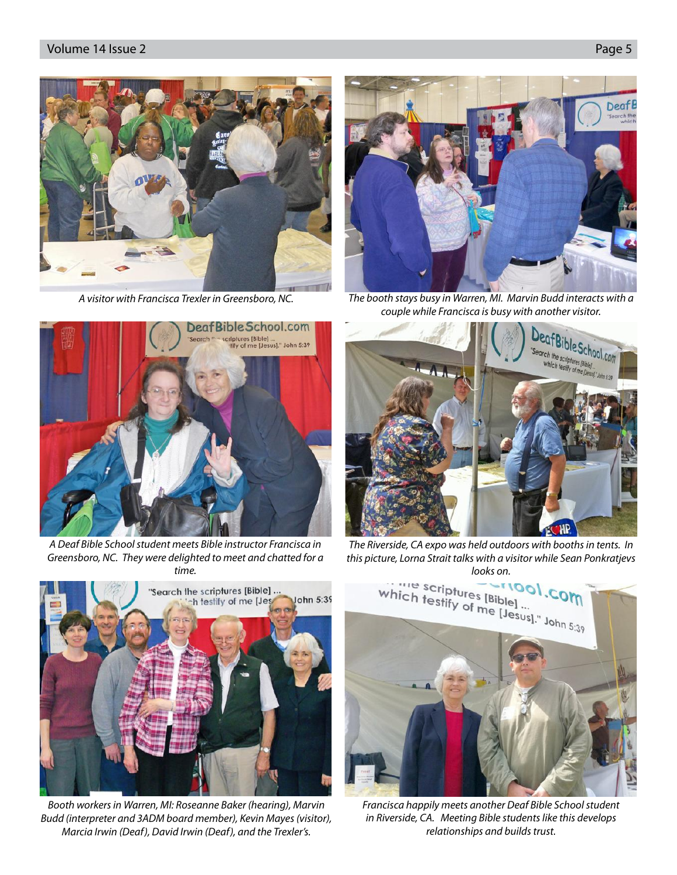

A visitor with Francisca Trexler in Greensboro, NC.



A Deaf Bible School student meets Bible instructor Francisca in Greensboro, NC. They were delighted to meet and chatted for a time.



Booth workers in Warren, MI: Roseanne Baker (hearing), Marvin Budd (interpreter and 3ADM board member), Kevin Mayes (visitor), Marcia Irwin (Deaf), David Irwin (Deaf), and the Trexler's.



The booth stays busy in Warren, MI. Marvin Budd interacts with a couple while Francisca is busy with another visitor.



The Riverside, CA expo was held outdoors with booths in tents. In this picture, Lorna Strait talks with a visitor while Sean Ponkratjevs



Francisca happily meets another Deaf Bible School student in Riverside, CA. Meeting Bible students like this develops relationships and builds trust.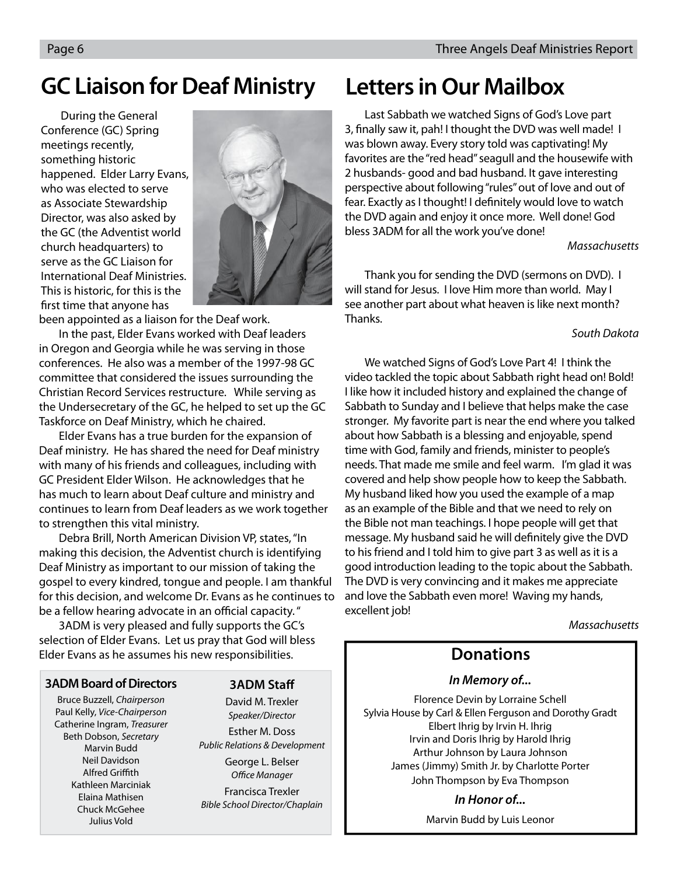## **GC Liaison for Deaf Ministry**

 During the General Conference (GC) Spring meetings recently, something historic happened. Elder Larry Evans, who was elected to serve as Associate Stewardship Director, was also asked by the GC (the Adventist world church headquarters) to serve as the GC Liaison for International Deaf Ministries. This is historic, for this is the first time that anyone has



been appointed as a liaison for the Deaf work.

 In the past, Elder Evans worked with Deaf leaders in Oregon and Georgia while he was serving in those conferences. He also was a member of the 1997-98 GC committee that considered the issues surrounding the Christian Record Services restructure. While serving as the Undersecretary of the GC, he helped to set up the GC Taskforce on Deaf Ministry, which he chaired.

 Elder Evans has a true burden for the expansion of Deaf ministry. He has shared the need for Deaf ministry with many of his friends and colleagues, including with GC President Elder Wilson. He acknowledges that he has much to learn about Deaf culture and ministry and continues to learn from Deaf leaders as we work together to strengthen this vital ministry.

 Debra Brill, North American Division VP, states, "In making this decision, the Adventist church is identifying Deaf Ministry as important to our mission of taking the gospel to every kindred, tongue and people. I am thankful for this decision, and welcome Dr. Evans as he continues to be a fellow hearing advocate in an official capacity."

 3ADM is very pleased and fully supports the GC's selection of Elder Evans. Let us pray that God will bless Elder Evans as he assumes his new responsibilities.

### **3ADM Board of Directors**

Bruce Buzzell, Chairperson Paul Kelly, Vice-Chairperson Catherine Ingram, Treasurer Beth Dobson, Secretary Marvin Budd Neil Davidson **Alfred Griffith** Kathleen Marciniak Elaina Mathisen Chuck McGehee Julius Vold

### **3ADM Staff**

David M. Trexler Speaker/Director Esther M. Doss Public Relations & Development George L. Belser Office Manager Francisca Trexler Bible School Director/Chaplain

## **Letters in Our Mailbox**

Last Sabbath we watched Signs of God's Love part 3, finally saw it, pah! I thought the DVD was well made! I was blown away. Every story told was captivating! My favorites are the "red head" seagull and the housewife with 2 husbands- good and bad husband. It gave interesting perspective about following "rules" out of love and out of fear. Exactly as I thought! I definitely would love to watch the DVD again and enjoy it once more. Well done! God bless 3ADM for all the work you've done!

### **Massachusetts**

Thank you for sending the DVD (sermons on DVD). I will stand for Jesus. I love Him more than world. May I see another part about what heaven is like next month? Thanks.

### South Dakota

We watched Signs of God's Love Part 4! I think the video tackled the topic about Sabbath right head on! Bold! I like how it included history and explained the change of Sabbath to Sunday and I believe that helps make the case stronger. My favorite part is near the end where you talked about how Sabbath is a blessing and enjoyable, spend time with God, family and friends, minister to people's needs. That made me smile and feel warm. I'm glad it was covered and help show people how to keep the Sabbath. My husband liked how you used the example of a map as an example of the Bible and that we need to rely on the Bible not man teachings. I hope people will get that message. My husband said he will definitely give the DVD to his friend and I told him to give part 3 as well as it is a good introduction leading to the topic about the Sabbath. The DVD is very convincing and it makes me appreciate and love the Sabbath even more! Waving my hands, excellent job!

Massachusetts

## **Donations**

### **In Memory of...**

Florence Devin by Lorraine Schell Sylvia House by Carl & Ellen Ferguson and Dorothy Gradt Elbert Ihrig by Irvin H. Ihrig Irvin and Doris Ihrig by Harold Ihrig Arthur Johnson by Laura Johnson James (Jimmy) Smith Jr. by Charlotte Porter John Thompson by Eva Thompson

**In Honor of...**

Marvin Budd by Luis Leonor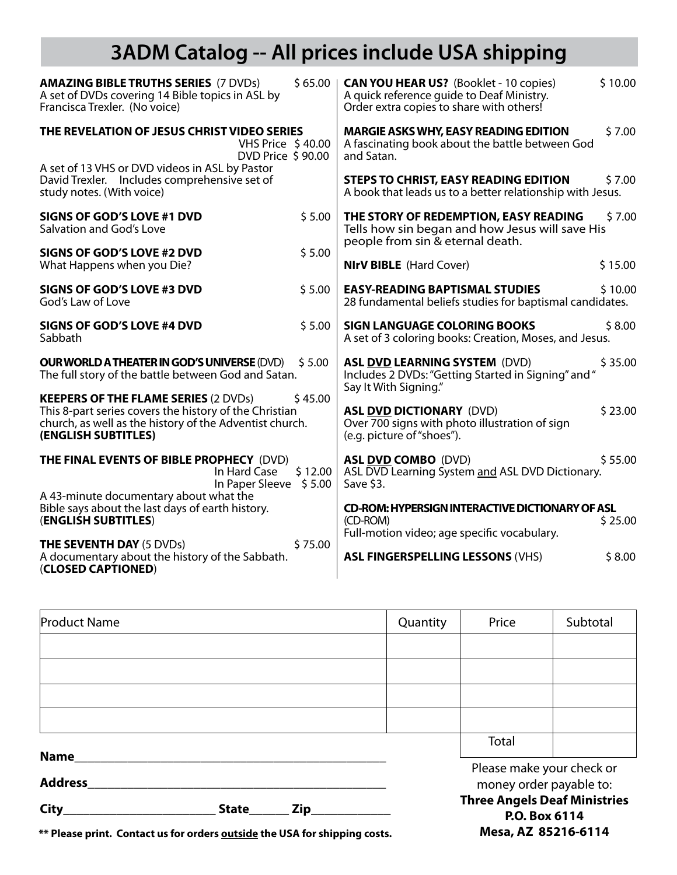## **3ADM Catalog -- All prices include USA shipping**

| <b>AMAZING BIBLE TRUTHS SERIES (7 DVDs)</b><br>\$65.00<br>A set of DVDs covering 14 Bible topics in ASL by<br>Francisca Trexler. (No voice)                                                        | \$10.00<br><b>CAN YOU HEAR US?</b> (Booklet - 10 copies)<br>A quick reference guide to Deaf Ministry.<br>Order extra copies to share with others! |  |  |
|----------------------------------------------------------------------------------------------------------------------------------------------------------------------------------------------------|---------------------------------------------------------------------------------------------------------------------------------------------------|--|--|
| THE REVELATION OF JESUS CHRIST VIDEO SERIES<br>VHS Price \$40.00<br>DVD Price \$90.00                                                                                                              | <b>MARGIE ASKS WHY, EASY READING EDITION</b><br>\$7.00<br>A fascinating book about the battle between God<br>and Satan.                           |  |  |
| A set of 13 VHS or DVD videos in ASL by Pastor<br>David Trexler. Includes comprehensive set of<br>study notes. (With voice)                                                                        | <b>STEPS TO CHRIST, EASY READING EDITION</b><br>\$7.00<br>A book that leads us to a better relationship with Jesus.                               |  |  |
| <b>SIGNS OF GOD'S LOVE #1 DVD</b><br>\$5.00<br>Salvation and God's Love                                                                                                                            | THE STORY OF REDEMPTION, EASY READING<br>\$7.00<br>Tells how sin began and how Jesus will save His<br>people from sin & eternal death.            |  |  |
| \$5.00<br><b>SIGNS OF GOD'S LOVE #2 DVD</b><br>What Happens when you Die?                                                                                                                          | <b>NIrV BIBLE</b> (Hard Cover)<br>\$15.00                                                                                                         |  |  |
| SIGNS OF GOD'S LOVE #3 DVD<br>\$5.00<br>God's Law of Love                                                                                                                                          | <b>EASY-READING BAPTISMAL STUDIES</b><br>\$10.00<br>28 fundamental beliefs studies for baptismal candidates.                                      |  |  |
| SIGNS OF GOD'S LOVE #4 DVD<br>\$5.00<br>Sabbath                                                                                                                                                    | <b>SIGN LANGUAGE COLORING BOOKS</b><br>\$8.00<br>A set of 3 coloring books: Creation, Moses, and Jesus.                                           |  |  |
| \$5.00<br><b>OUR WORLD A THEATER IN GOD'S UNIVERSE (DVD)</b><br>The full story of the battle between God and Satan.                                                                                | \$35.00<br><b>ASL DVD LEARNING SYSTEM (DVD)</b><br>Includes 2 DVDs: "Getting Started in Signing" and "<br>Say It With Signing."                   |  |  |
| \$45.00<br><b>KEEPERS OF THE FLAME SERIES (2 DVDs)</b><br>This 8-part series covers the history of the Christian<br>church, as well as the history of the Adventist church.<br>(ENGLISH SUBTITLES) | <b>ASL DVD DICTIONARY (DVD)</b><br>\$23.00<br>Over 700 signs with photo illustration of sign<br>(e.g. picture of "shoes").                        |  |  |
| THE FINAL EVENTS OF BIBLE PROPHECY (DVD)<br>In Hard Case<br>\$12.00<br>In Paper Sleeve \$5.00                                                                                                      | \$55.00<br><b>ASL DVD COMBO (DVD)</b><br>ASL DVD Learning System and ASL DVD Dictionary.<br>Save \$3.                                             |  |  |
| A 43-minute documentary about what the<br>Bible says about the last days of earth history.<br>(ENGLISH SUBTITLES)                                                                                  | <b>CD-ROM: HYPERSIGN INTERACTIVE DICTIONARY OF ASL</b><br>\$25.00<br>(CD-ROM)<br>Full-motion video; age specific vocabulary.                      |  |  |
| \$75.00<br><b>THE SEVENTH DAY (5 DVDs)</b><br>A documentary about the history of the Sabbath.<br>(CLOSED CAPTIONED)                                                                                | \$8.00<br><b>ASL FINGERSPELLING LESSONS (VHS)</b>                                                                                                 |  |  |

| <b>Product Name</b>           |                     |  | Quantity                                             | Price                                                | Subtotal |  |
|-------------------------------|---------------------|--|------------------------------------------------------|------------------------------------------------------|----------|--|
|                               |                     |  |                                                      |                                                      |          |  |
|                               |                     |  |                                                      |                                                      |          |  |
|                               |                     |  |                                                      |                                                      |          |  |
|                               |                     |  |                                                      |                                                      |          |  |
|                               |                     |  |                                                      | Total                                                |          |  |
| <b>Name</b><br><b>Address</b> |                     |  | Please make your check or<br>money order payable to: |                                                      |          |  |
| City                          | <b>State</b><br>Zip |  |                                                      | <b>Three Angels Deaf Ministries</b><br>P.O. Box 6114 |          |  |

**Mesa, AZ 85216-6114**

**\*\* Please print. Contact us for orders outside the USA for shipping costs.**